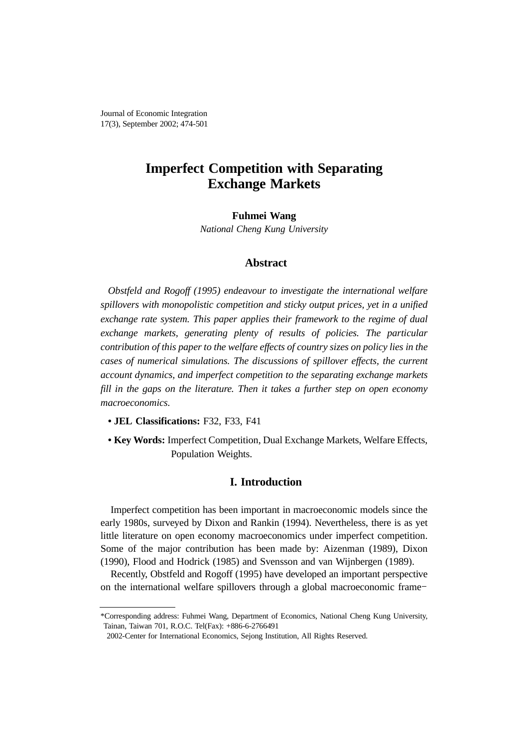Journal of Economic Integration 17(3), September 2002; 474-501

# **Imperfect Competition with Separating Exchange Markets**

**Fuhmei Wang**

*National Cheng Kung University*

# **Abstract**

*Obstfeld and Rogoff (1995) endeavour to investigate the international welfare spillovers with monopolistic competition and sticky output prices, yet in a unified exchange rate system. This paper applies their framework to the regime of dual exchange markets, generating plenty of results of policies. The particular contribution of this paper to the welfare effects of country sizes on policy lies in the cases of numerical simulations. The discussions of spillover effects, the current account dynamics, and imperfect competition to the separating exchange markets fill in the gaps on the literature. Then it takes a further step on open economy macroeconomics.*

- **JEL Classifications:** F32, F33, F41
- **Key Words:** Imperfect Competition, Dual Exchange Markets, Welfare Effects, Population Weights.

# **I. Introduction**

Imperfect competition has been important in macroeconomic models since the early 1980s, surveyed by Dixon and Rankin (1994). Nevertheless, there is as yet little literature on open economy macroeconomics under imperfect competition. Some of the major contribution has been made by: Aizenman (1989), Dixon (1990), Flood and Hodrick (1985) and Svensson and van Wijnbergen (1989). early 1980s, surveyed by Dixon and Rankin (1994). Nevertheless, there is as yet<br>little literature on open economy macroeconomics under imperfect competition.<br>Some of the major contribution has been made by: Aizenman (1989)

Recently, Obstfeld and Rogoff (1995) have developed an important perspective

<sup>\*</sup>Corresponding address: Fuhmei Wang, Department of Economics, National Cheng Kung University, Tainan, Taiwan 701, R.O.C. Tel(Fax): +886-6-2766491

<sup>2002-</sup>Center for International Economics, Sejong Institution, All Rights Reserved.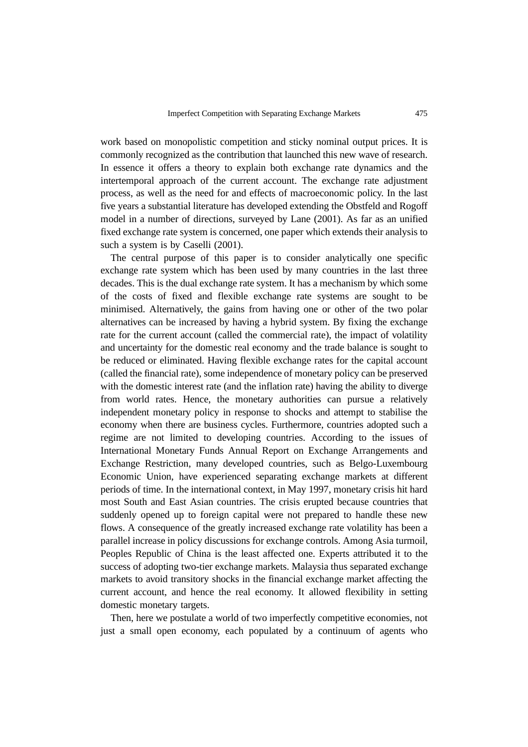work based on monopolistic competition and sticky nominal output prices. It is commonly recognized as the contribution that launched this new wave of research. In essence it offers a theory to explain both exchange rate dynamics and the intertemporal approach of the current account. The exchange rate adjustment process, as well as the need for and effects of macroeconomic policy. In the last five years a substantial literature has developed extending the Obstfeld and Rogoff model in a number of directions, surveyed by Lane (2001). As far as an unified fixed exchange rate system is concerned, one paper which extends their analysis to such a system is by Caselli (2001).

The central purpose of this paper is to consider analytically one specific exchange rate system which has been used by many countries in the last three decades. This is the dual exchange rate system. It has a mechanism by which some of the costs of fixed and flexible exchange rate systems are sought to be minimised. Alternatively, the gains from having one or other of the two polar alternatives can be increased by having a hybrid system. By fixing the exchange rate for the current account (called the commercial rate), the impact of volatility and uncertainty for the domestic real economy and the trade balance is sought to be reduced or eliminated. Having flexible exchange rates for the capital account (called the financial rate), some independence of monetary policy can be preserved with the domestic interest rate (and the inflation rate) having the ability to diverge from world rates. Hence, the monetary authorities can pursue a relatively independent monetary policy in response to shocks and attempt to stabilise the economy when there are business cycles. Furthermore, countries adopted such a regime are not limited to developing countries. According to the issues of International Monetary Funds Annual Report on Exchange Arrangements and Exchange Restriction, many developed countries, such as Belgo-Luxembourg Economic Union, have experienced separating exchange markets at different periods of time. In the international context, in May 1997, monetary crisis hit hard most South and East Asian countries. The crisis erupted because countries that suddenly opened up to foreign capital were not prepared to handle these new flows. A consequence of the greatly increased exchange rate volatility has been a parallel increase in policy discussions for exchange controls. Among Asia turmoil, Peoples Republic of China is the least affected one. Experts attributed it to the success of adopting two-tier exchange markets. Malaysia thus separated exchange markets to avoid transitory shocks in the financial exchange market affecting the current account, and hence the real economy. It allowed flexibility in setting domestic monetary targets.

Then, here we postulate a world of two imperfectly competitive economies, not just a small open economy, each populated by a continuum of agents who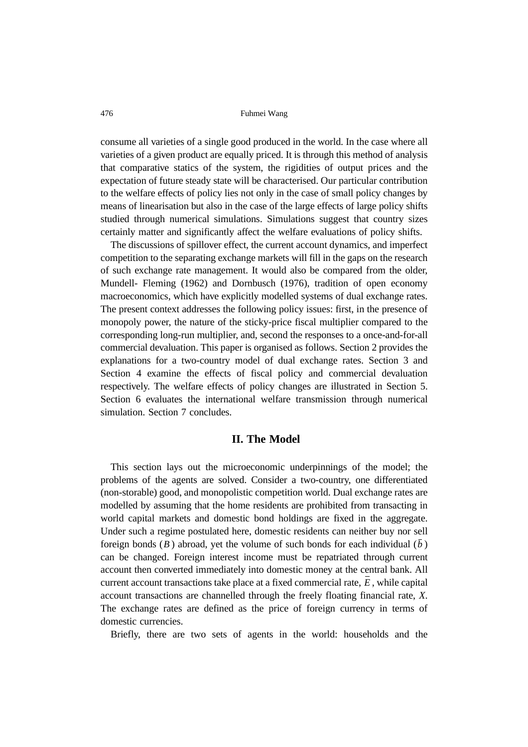consume all varieties of a single good produced in the world. In the case where all varieties of a given product are equally priced. It is through this method of analysis that comparative statics of the system, the rigidities of output prices and the expectation of future steady state will be characterised. Our particular contribution to the welfare effects of policy lies not only in the case of small policy changes by means of linearisation but also in the case of the large effects of large policy shifts studied through numerical simulations. Simulations suggest that country sizes certainly matter and significantly affect the welfare evaluations of policy shifts.

The discussions of spillover effect, the current account dynamics, and imperfect competition to the separating exchange markets will fill in the gaps on the research of such exchange rate management. It would also be compared from the older, Mundell- Fleming (1962) and Dornbusch (1976), tradition of open economy macroeconomics, which have explicitly modelled systems of dual exchange rates. The present context addresses the following policy issues: first, in the presence of monopoly power, the nature of the sticky-price fiscal multiplier compared to the corresponding long-run multiplier, and, second the responses to a once-and-for-all commercial devaluation. This paper is organised as follows. Section 2 provides the explanations for a two-country model of dual exchange rates. Section 3 and Section 4 examine the effects of fiscal policy and commercial devaluation respectively. The welfare effects of policy changes are illustrated in Section 5. Section 6 evaluates the international welfare transmission through numerical simulation. Section 7 concludes.

# **II. The Model**

This section lays out the microeconomic underpinnings of the model; the problems of the agents are solved. Consider a two-country, one differentiated (non-storable) good, and monopolistic competition world. Dual exchange rates are modelled by assuming that the home residents are prohibited from transacting in world capital markets and domestic bond holdings are fixed in the aggregate. Under such a regime postulated here, domestic residents can neither buy nor sell foreign bonds (*B*) abroad, yet the volume of such bonds for each individual  $(\bar{b})$ can be changed. Foreign interest income must be repatriated through current account then converted immediately into domestic money at the central bank. All current account transactions take place at a fixed commercial rate,  $E$ , while capital account transactions are channelled through the freely floating financial rate, *X*. The exchange rates are defined as the price of foreign currency in terms of domestic currencies.

Briefly, there are two sets of agents in the world: households and the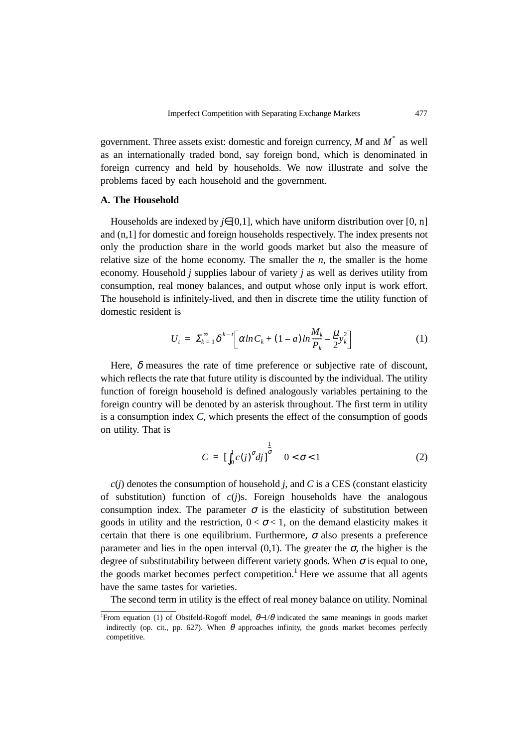government. Three assets exist: domestic and foreign currency,  $M$  and  $M^*$  as well as an internationally traded bond, say foreign bond, which is denominated in foreign currency and held by households. We now illustrate and solve the problems faced by each household and the government.

# **A. The Household**

Households are indexed by *j*∈[0,1], which have uniform distribution over [0, n] and (n,1] for domestic and foreign households respectively. The index presents not only the production share in the world goods market but also the measure of relative size of the home economy. The smaller the  $n$ , the smaller is the home economy. Household *j* supplies labour of variety *j* as well as derives utility from consumption, real money balances, and output whose only input is work effort. The household is infinitely-lived, and then in discrete time the utility function of domestic resident is

$$
U_{t} = \sum_{k=1}^{\infty} \delta^{k-t} \bigg[ \alpha \ln C_{k} + (1 - a) \ln \frac{M_{k}}{P_{k}} - \frac{\mu}{2} y_{k}^{2} \bigg] \tag{1}
$$

Here,  $\delta$  measures the rate of time preference or subjective rate of discount, which reflects the rate that future utility is discounted by the individual. The utility function of foreign household is defined analogously variables pertaining to the foreign country will be denoted by an asterisk throughout. The first term in utility is a consumption index *C*, which presents the effect of the consumption of goods on utility. That is

$$
C = \left[\int_0^1 c(j)^\sigma dj\right]_0^{\frac{1}{\sigma}} \quad 0 < \sigma < 1 \tag{2}
$$

 $c(j)$  denotes the consumption of household *j*, and *C* is a CES (constant elasticity of substitution) function of *c*(*j*)s. Foreign households have the analogous consumption index. The parameter  $\sigma$  is the elasticity of substitution between goods in utility and the restriction,  $0 < \sigma < 1$ , on the demand elasticity makes it certain that there is one equilibrium. Furthermore,  $\sigma$  also presents a preference parameter and lies in the open interval (0,1). The greater the  $\sigma$ , the higher is the degree of substitutability between different variety goods. When  $\sigma$  is equal to one, the goods market becomes perfect competition.<sup>1</sup> Here we assume that all agents have the same tastes for varieties.

The second term in utility is the effect of real money balance on utility. Nominal

<sup>&</sup>lt;sup>1</sup>From equation (1) of Obstfeld-Rogoff model,  $\theta$ -1/ $\theta$  indicated the same meanings in goods market indirectly (op. cit., pp. 627). When  $\theta$  approaches infinity, the goods market becomes perfectly competitive.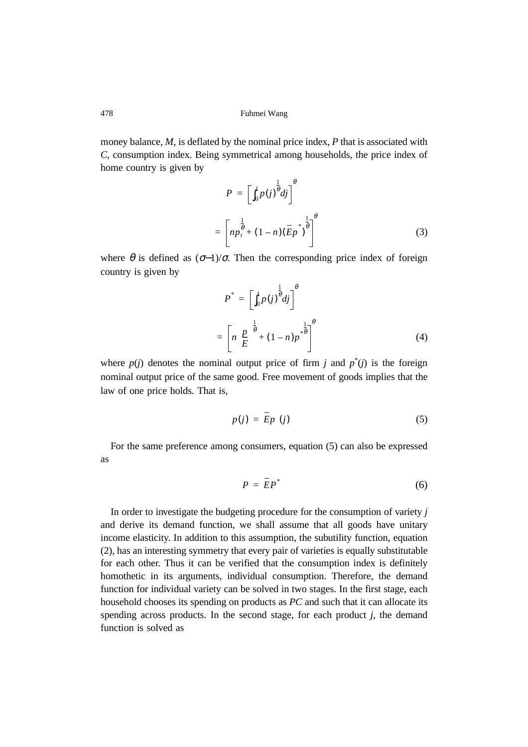money balance, *M*, is deflated by the nominal price index, *P* that is associated with *C*, consumption index. Being symmetrical among households, the price index of home country is given by

$$
P = \left[\int_0^1 p(j)^{\frac{1}{\theta}} dj\right]^{\theta}
$$
  
= 
$$
\left[ np_t^{\frac{1}{\theta}} + (1-n)(\overline{E}p^*)^{\frac{1}{\theta}} \right]^{\theta}
$$
 (3)

where  $\theta$  is defined as  $(\sigma-1)/\sigma$ . Then the corresponding price index of foreign country is given by

$$
P^* = \left[\int_0^1 p(j)^{\frac{1}{\theta}} dj\right]^{\theta}
$$
  
= 
$$
\left[n\left(\frac{p}{E}\right)^{\frac{1}{\theta}} + (1-n)p^{*\frac{1}{\theta}}\right]^{\theta}
$$
 (4)

where  $p(j)$  denotes the nominal output price of firm *j* and  $p^*(j)$  is the foreign nominal output price of the same good. Free movement of goods implies that the law of one price holds. That is,

 $\overline{\phantom{a}}$ 

$$
p(j) = Ep(j) \tag{5}
$$

For the same preference among consumers, equation (5) can also be expressed as

$$
P = \overline{E}P^* \tag{6}
$$

In order to investigate the budgeting procedure for the consumption of variety *j* and derive its demand function, we shall assume that all goods have unitary income elasticity. In addition to this assumption, the subutility function, equation (2), has an interesting symmetry that every pair of varieties is equally substitutable for each other. Thus it can be verified that the consumption index is definitely homothetic in its arguments, individual consumption. Therefore, the demand function for individual variety can be solved in two stages. In the first stage, each household chooses its spending on products as *PC* and such that it can allocate its spending across products. In the second stage, for each product *j*, the demand function is solved as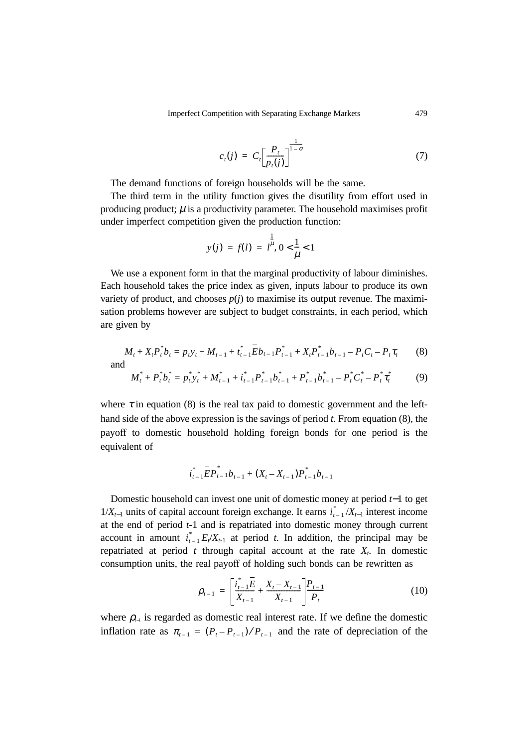$$
c_t(j) = C_t \left[ \frac{P_t}{p_t(j)} \right]^{1-\sigma} \tag{7}
$$

The demand functions of foreign households will be the same.

The third term in the utility function gives the disutility from effort used in producing product;  $\mu$  is a productivity parameter. The household maximises profit under imperfect competition given the production function:

$$
y(j) = f(l) = l^{\frac{1}{\mu}}, 0 < \frac{1}{\mu} < 1
$$

We use a exponent form in that the marginal productivity of labour diminishes. Each household takes the price index as given, inputs labour to produce its own variety of product, and chooses  $p(i)$  to maximise its output revenue. The maximisation problems however are subject to budget constraints, in each period, which are given by

$$
M_t + X_t P_t^* b_t = p_t y_t + M_{t-1} + t_{t-1}^* \overline{E} b_{t-1} P_{t-1}^* + X_t P_{t-1}^* b_{t-1} - P_t C_t - P_t \tau_t
$$
 (8)

$$
M_t^* + P_t^* b_t^* = p_t^* y_t^* + M_{t-1}^* + i_{t-1}^* P_{t-1}^* b_{t-1}^* + P_{t-1}^* b_{t-1}^* - P_t^* C_t^* - P_t^* \tau_t^*
$$
(9)

where  $\tau$  in equation (8) is the real tax paid to domestic government and the lefthand side of the above expression is the savings of period *t*. From equation (8), the payoff to domestic household holding foreign bonds for one period is the equivalent of

$$
i_{t-1}^* \overline{E} P_{t-1}^* b_{t-1} + (X_t - X_{t-1}) P_{t-1}^* b_{t-1}
$$

Domestic household can invest one unit of domestic money at period *t*−1 to get  $1/X_{t-1}$  units of capital account foreign exchange. It earns  $i_{t-1}^*/X_{t-1}$  interest income at the end of period *t*-1 and is repatriated into domestic money through current account in amount  $i_{t-1}^* E_t/X_{t-1}$  at period *t*. In addition, the principal may be repatriated at period  $t$  through capital account at the rate  $X_t$ . In domestic consumption units, the real payoff of holding such bonds can be rewritten as

$$
\rho_{t-1} = \left[\frac{i_{t-1}^* \overline{E}}{X_{t-1}} + \frac{X_t - X_{t-1}}{X_{t-1}}\right] \frac{P_{t-1}}{P_t}
$$
(10)

where  $\rho_{\text{F1}}$  is regarded as domestic real interest rate. If we define the domestic inflation rate as  $\pi_{t-1} = (P_t - P_{t-1})/P_{t-1}$  and the rate of depreciation of the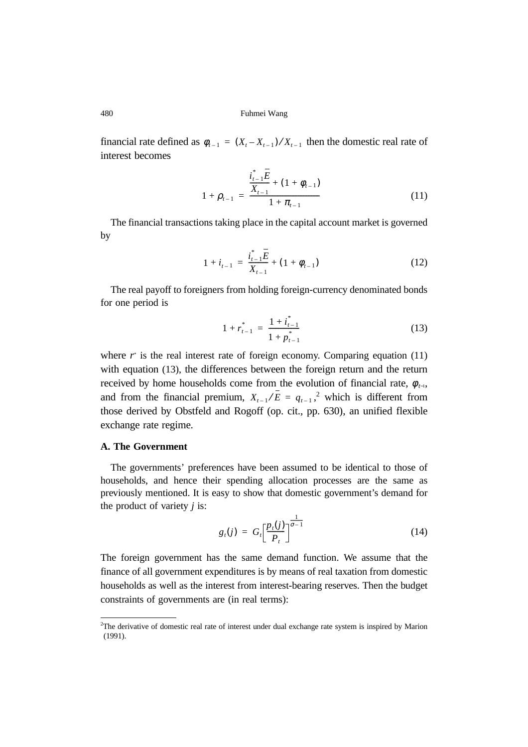financial rate defined as  $\phi_{t-1} = (X_t - X_{t-1})/X_{t-1}$  then the domestic real rate of interest becomes

$$
1 + \rho_{t-1} = \frac{\frac{i_{t-1}^* E}{X_{t-1}} + (1 + \phi_{t-1})}{1 + \pi_{t-1}}
$$
(11)

The financial transactions taking place in the capital account market is governed by

$$
1 + i_{t-1} = \frac{i_{t-1}^* \overline{E}}{X_{t-1}} + (1 + \phi_{t-1})
$$
\n(12)

The real payoff to foreigners from holding foreign-currency denominated bonds for one period is

$$
1 + r_{t-1}^* = \frac{1 + i_{t-1}^*}{1 + p_{t-1}^*}
$$
 (13)

where  $r^*$  is the real interest rate of foreign economy. Comparing equation  $(11)$ with equation (13), the differences between the foreign return and the return received by home households come from the evolution of financial rate,  $\phi_{t-1}$ , and from the financial premium,  $X_{t-1}/E = q_{t-1}$ , which is different from those derived by Obstfeld and Rogoff (op. cit., pp. 630), an unified flexible exchange rate regime.

### **A. The Government**

The governments' preferences have been assumed to be identical to those of households, and hence their spending allocation processes are the same as previously mentioned. It is easy to show that domestic government's demand for the product of variety *j* is:

$$
g_t(j) = G_t \left[ \frac{p_t(j)}{P_t} \right]^{\frac{1}{\sigma - 1}} \tag{14}
$$

The foreign government has the same demand function. We assume that the finance of all government expenditures is by means of real taxation from domestic households as well as the interest from interest-bearing reserves. Then the budget constraints of governments are (in real terms):

<sup>2</sup> The derivative of domestic real rate of interest under dual exchange rate system is inspired by Marion (1991).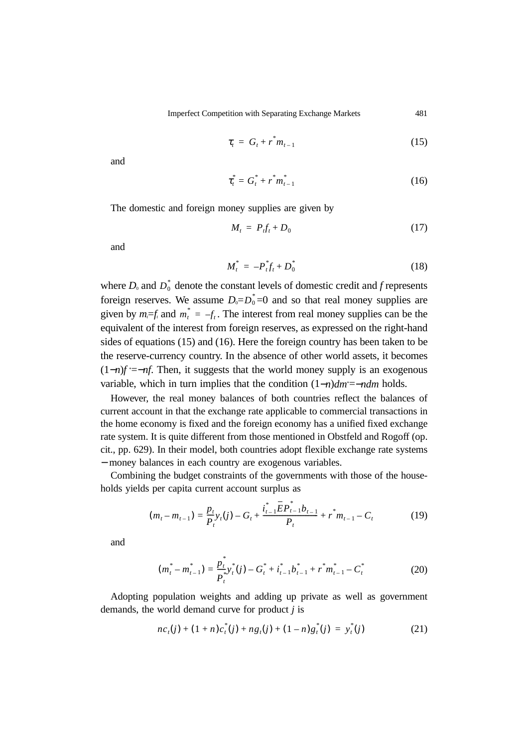$$
\tau_t = G_t + r^* m_{t-1} \tag{15}
$$

and

$$
\tau_t^* = G_t^* + r^* m_{t-1}^* \tag{16}
$$

The domestic and foreign money supplies are given by

$$
M_t = P_t f_t + D_0 \tag{17}
$$

and

$$
M_t^* = -P_t^* f_t + D_0^* \tag{18}
$$

where  $D_0$  and  $D_0^*$  denote the constant levels of domestic credit and *f* represents foreign reserves. We assume  $D_0 = D_0^* = 0$  and so that real money supplies are given by  $m_i = f_i$  and  $m_i^* = -f_i$ . The interest from real money supplies can be the equivalent of the interest from foreign reserves, as expressed on the right-hand sides of equations (15) and (16). Here the foreign country has been taken to be the reserve-currency country. In the absence of other world assets, it becomes (1−*n*)*f* \* =−*nf*. Then, it suggests that the world money supply is an exogenous variable, which in turn implies that the condition  $(1-n)dm^* = -ndm$  holds.

However, the real money balances of both countries reflect the balances of current account in that the exchange rate applicable to commercial transactions in the home economy is fixed and the foreign economy has a unified fixed exchange rate system. It is quite different from those mentioned in Obstfeld and Rogoff (op. cit., pp. 629). In their model, both countries adopt flexible exchange rate systems − money balances in each country are exogenous variables.

Combining the budget constraints of the governments with those of the households yields per capita current account surplus as

$$
(m_t - m_{t-1}) = \frac{p_t}{P_t} y_t(j) - G_t + \frac{i_{t-1}^* \overline{E} P_{t-1}^* b_{t-1}}{P_t} + r^* m_{t-1} - C_t
$$
(19)

and

$$
(m_t^* - m_{t-1}^*) = \frac{p_t^*}{p_t^*} y_t^* (j) - G_t^* + i_{t-1}^* b_{t-1}^* + r^* m_{t-1}^* - C_t^* \tag{20}
$$

Adopting population weights and adding up private as well as government demands, the world demand curve for product *j* is

$$
nc_{t}(j) + (1+n)c_{t}^{*}(j) + ng_{t}(j) + (1-n)g_{t}^{*}(j) = y_{t}^{*}(j)
$$
\n(21)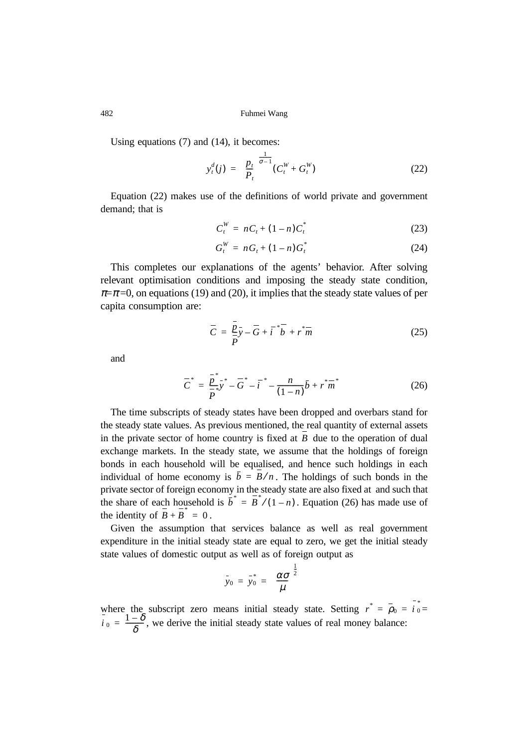Using equations (7) and (14), it becomes:

$$
y_t^d(j) = \left(\frac{p_t}{P_t}\right)^{\frac{1}{\sigma-1}} (C_t^W + G_t^W)
$$
 (22)

Equation (22) makes use of the definitions of world private and government demand; that is

$$
C_t^W = nC_t + (1 - n)C_t^*
$$
 (23)

$$
G_t^W = nG_t + (1 - n)G_t^*
$$
 (24)

This completes our explanations of the agents' behavior. After solving relevant optimisation conditions and imposing the steady state condition,  $\pi = \pi = 0$ , on equations (19) and (20), it implies that the steady state values of per capita consumption are:

$$
\overline{C} = \frac{\overline{p}}{\overline{p}}\overline{y} - \overline{G} + \overline{i}^* \overline{b} + r^* \overline{m}
$$
 (25)

and

$$
\overline{C}^* = \frac{\overline{p}^*}{\overline{p}^*} \overline{y}^* - \overline{G}^* - \overline{i}^* - \frac{n}{(1-n)} \overline{b} + \overline{r}^* \overline{m}^* \tag{26}
$$

The time subscripts of steady states have been dropped and overbars stand for the steady state values. As previous mentioned, the real quantity of external assets in the private sector of home country is fixed at  $B$  due to the operation of dual exchange markets. In the steady state, we assume that the holdings of foreign bonds in each household will be equalised, and hence such holdings in each individual of home economy is  $\bar{b} = B/n$ . The holdings of such bonds in the private sector of foreign economy in the steady state are also fixed at and such that the share of each household is  $\overline{b}^* = \overline{B}^*/(1-n)$ . Equation (26) has made use of the identity of  $\overline{B} + \overline{B}^* = 0$ .

Given the assumption that services balance as well as real government expenditure in the initial steady state are equal to zero, we get the initial steady state values of domestic output as well as of foreign output as

$$
\bar{y}_0 = \bar{y}_0^* = \left(\frac{\alpha \sigma}{\mu}\right)^{\frac{1}{2}}
$$

where the subscript zero means initial steady state. Setting  $r^{\dagger} = \rho_0 = i_0 =$ , we derive the initial steady state values of real money balance:  $r^* = \overline{\rho}_0 = i \frac{\overline{\epsilon}}{2}$  $\overline{i}$ <sup>0</sup> =  $\frac{1-\delta}{\delta}$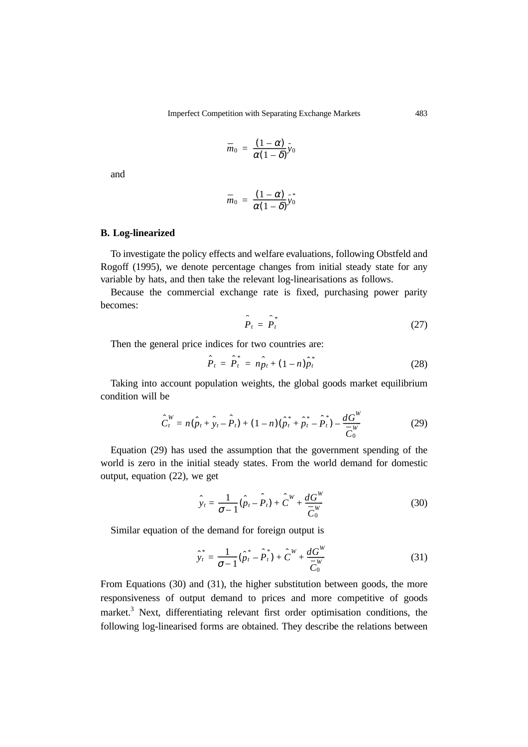$$
\overline{m}_0 = \frac{(1-\alpha)}{\alpha(1-\delta)}y_0
$$

and

$$
\overline{m}_0 = \frac{(1-\alpha)}{\alpha(1-\delta)} y_0^*
$$

# **B. Log-linearized**

To investigate the policy effects and welfare evaluations, following Obstfeld and Rogoff (1995), we denote percentage changes from initial steady state for any variable by hats, and then take the relevant log-linearisations as follows.

Because the commercial exchange rate is fixed, purchasing power parity becomes:

$$
\hat{P}_t = \hat{P}_t^* \tag{27}
$$

Then the general price indices for two countries are:

$$
\hat{P}_t = \hat{P}_t^* = n\hat{p}_t + (1 - n)\hat{p}_t^* \tag{28}
$$

Taking into account population weights, the global goods market equilibrium condition will be

$$
\hat{C}_t^W = n(\hat{p}_t + \hat{y}_t - \hat{P}_t) + (1 - n)(\hat{p}_t^* + \hat{p}_t^* - \hat{P}_t^*) - \frac{dG^W}{C_0^W}
$$
(29)

Equation (29) has used the assumption that the government spending of the world is zero in the initial steady states. From the world demand for domestic output, equation (22), we get

$$
\hat{y}_t = \frac{1}{\sigma - 1} (\hat{p}_t - \hat{P}_t) + \hat{C}^W + \frac{dG^W}{\overline{C}_0^W}
$$
(30)

Similar equation of the demand for foreign output is

$$
\hat{y}_t^* = \frac{1}{\sigma - 1} (\hat{p}_t^* - \hat{P}_t^*) + \hat{C}^W + \frac{dG^W}{\overline{C}_0^W}
$$
(31)

From Equations (30) and (31), the higher substitution between goods, the more responsiveness of output demand to prices and more competitive of goods market.<sup>3</sup> Next, differentiating relevant first order optimisation conditions, the following log-linearised forms are obtained. They describe the relations between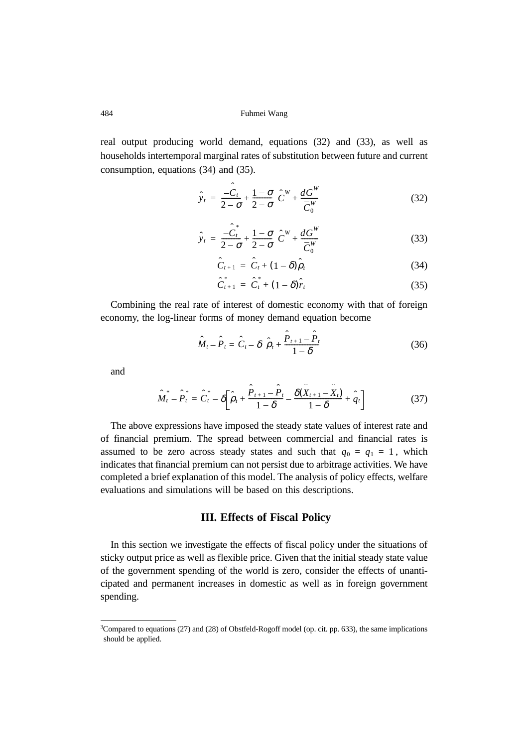real output producing world demand, equations (32) and (33), as well as households intertemporal marginal rates of substitution between future and current consumption, equations (34) and (35).

$$
\hat{y}_t = \frac{-\hat{C}_t}{2-\sigma} + \frac{1-\sigma}{2-\sigma} \left( \hat{C}^W + \frac{dG^W}{\overline{C}_0^W} \right)
$$
(32)

$$
\hat{y}_t = \frac{\hat{C}_t^*}{2 - \sigma} + \frac{1 - \sigma}{2 - \sigma} \left( \hat{C}^W + \frac{dG^W}{C_0^W} \right)
$$
(33)

$$
\hat{C}_{t+1} = \hat{C}_t + (1 - \delta)\hat{\rho}_t \tag{34}
$$

$$
\hat{C}_{t+1}^* = \hat{C}_t^* + (1 - \delta)\hat{r}_t \tag{35}
$$

Combining the real rate of interest of domestic economy with that of foreign economy, the log-linear forms of money demand equation become

$$
\hat{M}_t - \hat{P}_t = \hat{C}_t - \delta \left( \hat{\rho}_t + \frac{\hat{P}_{t+1} - \hat{P}_t}{1 - \delta} \right)
$$
(36)

and

$$
\hat{M}_t^* - \hat{P}_t^* = \hat{C}_t^* - \delta \bigg[ \hat{\rho}_t + \frac{\hat{P}_{t+1} - \hat{P}_t}{1 - \delta} - \frac{\delta(\hat{X}_{t+1} - \hat{X}_t)}{1 - \delta} + \hat{q}_t \bigg] \tag{37}
$$

The above expressions have imposed the steady state values of interest rate and of financial premium. The spread between commercial and financial rates is assumed to be zero across steady states and such that  $q_0 = q_1 = 1$ , which indicates that financial premium can not persist due to arbitrage activities. We have completed a brief explanation of this model. The analysis of policy effects, welfare evaluations and simulations will be based on this descriptions.

# **III. Effects of Fiscal Policy**

In this section we investigate the effects of fiscal policy under the situations of sticky output price as well as flexible price. Given that the initial steady state value of the government spending of the world is zero, consider the effects of unanticipated and permanent increases in domestic as well as in foreign government spending.

<sup>3</sup> Compared to equations (27) and (28) of Obstfeld-Rogoff model (op. cit. pp. 633), the same implications should be applied.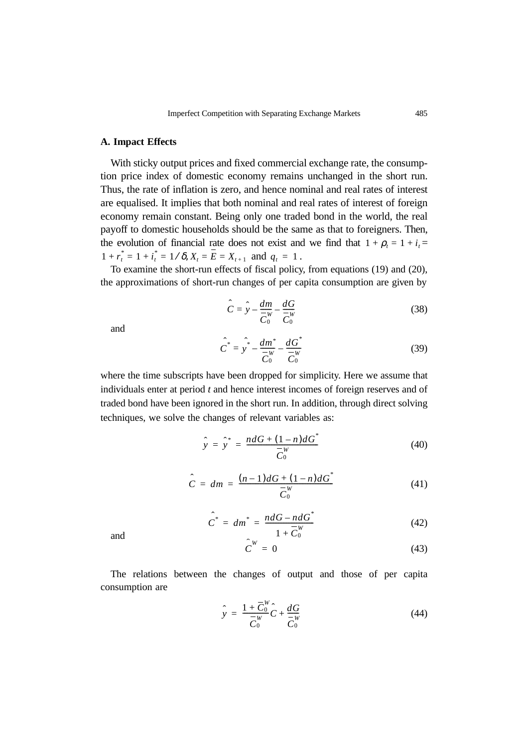#### **A. Impact Effects**

With sticky output prices and fixed commercial exchange rate, the consumption price index of domestic economy remains unchanged in the short run. Thus, the rate of inflation is zero, and hence nominal and real rates of interest are equalised. It implies that both nominal and real rates of interest of foreign economy remain constant. Being only one traded bond in the world, the real payoff to domestic households should be the same as that to foreigners. Then, the evolution of financial rate does not exist and we find that  $1 + \rho_t = 1 + i_t =$  $1 + r_t^* = 1 + i_t^* = 1/\delta$ ,  $X_t = \overline{E} = X_{t+1}$  and  $q_t = 1$ .

To examine the short-run effects of fiscal policy, from equations (19) and (20), the approximations of short-run changes of per capita consumption are given by

$$
\hat{C} = \hat{y} - \frac{dm}{C_0^w} - \frac{dG}{C_0^w} \tag{38}
$$

and

$$
\hat{C}^* = \hat{y}^* - \frac{dm^*}{C_0^W} - \frac{dG^*}{C_0^W} \tag{39}
$$

where the time subscripts have been dropped for simplicity. Here we assume that individuals enter at period *t* and hence interest incomes of foreign reserves and of traded bond have been ignored in the short run. In addition, through direct solving techniques, we solve the changes of relevant variables as:

$$
\hat{y} = \hat{y}^* = \frac{ndG + (1 - n)dG^*}{\overline{C}_0^W}
$$
\n(40)

$$
\hat{C} = dm = \frac{(n-1)dG + (1-n)dG^*}{\overline{C}_0^W} \tag{41}
$$

$$
\hat{C}^* = dm^* = \frac{ndG - ndG^*}{1 + \overline{C}_0^W}
$$
(42)

and

$$
\hat{\boldsymbol{C}}^W = \boldsymbol{0} \tag{43}
$$

The relations between the changes of output and those of per capita consumption are

$$
\hat{y} = \frac{1 + \overline{C}_0^W}{\overline{C}_0^W} \hat{C} + \frac{dG}{\overline{C}_0^W}
$$
\n(44)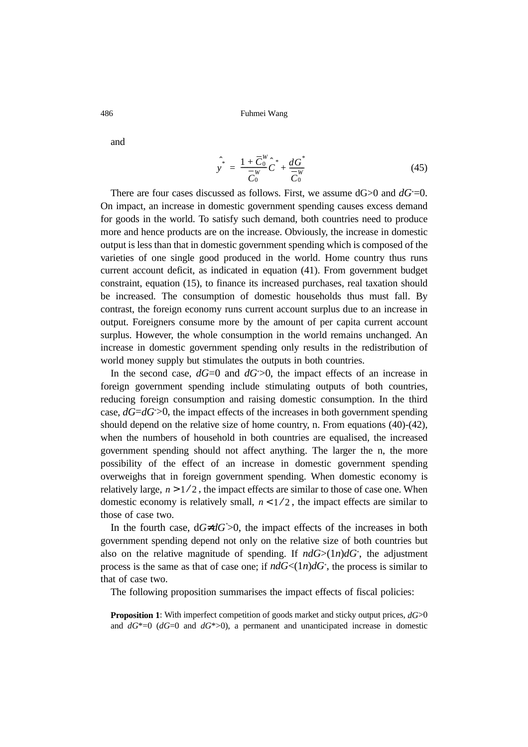and

$$
\hat{y}^* = \frac{1 + \overline{C}_0^W}{\overline{C}_0^W} \hat{C}^* + \frac{dG^*}{\overline{C}_0^W}
$$
\n(45)

There are four cases discussed as follows. First, we assume  $dG$  > 0 and  $dG^*$  = 0. On impact, an increase in domestic government spending causes excess demand for goods in the world. To satisfy such demand, both countries need to produce more and hence products are on the increase. Obviously, the increase in domestic output is less than that in domestic government spending which is composed of the varieties of one single good produced in the world. Home country thus runs current account deficit, as indicated in equation (41). From government budget constraint, equation (15), to finance its increased purchases, real taxation should be increased. The consumption of domestic households thus must fall. By contrast, the foreign economy runs current account surplus due to an increase in output. Foreigners consume more by the amount of per capita current account surplus. However, the whole consumption in the world remains unchanged. An increase in domestic government spending only results in the redistribution of world money supply but stimulates the outputs in both countries.

In the second case,  $dG=0$  and  $dG<sup>*</sup> > 0$ , the impact effects of an increase in foreign government spending include stimulating outputs of both countries, reducing foreign consumption and raising domestic consumption. In the third case, *dG*=*dG*\* >0, the impact effects of the increases in both government spending should depend on the relative size of home country, n. From equations (40)-(42), when the numbers of household in both countries are equalised, the increased government spending should not affect anything. The larger the n, the more possibility of the effect of an increase in domestic government spending overweighs that in foreign government spending. When domestic economy is relatively large,  $n > 1/2$ , the impact effects are similar to those of case one. When domestic economy is relatively small,  $n < 1/2$ , the impact effects are similar to those of case two.

In the fourth case, d*G*≠*dG*\* >0, the impact effects of the increases in both government spending depend not only on the relative size of both countries but also on the relative magnitude of spending. If  $ndG$  >(1*n*) $dG^*$ , the adjustment process is the same as that of case one; if  $ndG<(1n)dG^*$ , the process is similar to that of case two.

The following proposition summarises the impact effects of fiscal policies:

**Proposition 1**: With imperfect competition of goods market and sticky output prices,  $dG$ >0 and  $dG^*=0$  ( $dG=0$  and  $dG^*>0$ ), a permanent and unanticipated increase in domestic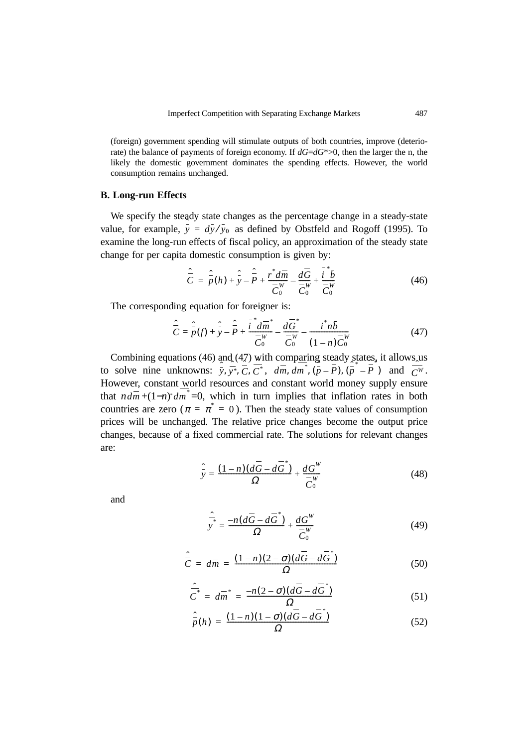(foreign) government spending will stimulate outputs of both countries, improve (deteriorate) the balance of payments of foreign economy. If *dG*=*dG*\*>0, then the larger the n, the likely the domestic government dominates the spending effects. However, the world consumption remains unchanged.

#### **B. Long-run Effects**

We specify the steady state changes as the percentage change in a steady-state value, for example,  $\bar{y} = d\bar{y}/y_0$  as defined by Obstfeld and Rogoff (1995). To examine the long-run effects of fiscal policy, an approximation of the steady state change for per capita domestic consumption is given by:

$$
\hat{\overline{C}} = \hat{\overline{p}}(h) + \hat{\overline{y}} - \hat{\overline{P}} + \frac{r^* d\overline{m}}{\overline{C}_0^W} - \frac{d\overline{G}}{\overline{C}_0^W} + \frac{i^* \overline{b}}{\overline{C}_0^W}
$$
(46)

The corresponding equation for foreigner is:

$$
\hat{\overline{C}} = \hat{\overline{P}}(f) + \hat{\overline{Y}} - \hat{\overline{P}} + \frac{\hat{i}^* d\overline{m}^*}{\overline{C}_0^W} - \frac{d\overline{G}^*}{\overline{C}_0^W} - \frac{i^* n\overline{b}}{(1-n)\overline{C}_0^W}
$$
(47)

Combining equations (46) and (47) with comparing steady states, it allows us to solve nine unknowns:  $\overline{y}$ ,  $\overline{y}$ <sup>\*</sup>,  $\overline{C}$ ,  $\overline{C}$ <sup>\*</sup>,  $d\overline{m}$ ,  $dm$ <sup>\*</sup>,  $(\overline{p} - \overline{P})$ ,  $(\overline{p}$ <sup>\*</sup> $-\overline{P}$ <sup>\*</sup>) and  $\overline{C}^{W}$ . However, constant world resources and constant world money supply ensure that  $nd\overline{m} + (1-n)^* dm^* = 0$ , which in turn implies that inflation rates in both countries are zero ( $\pi = \pi^* = 0$ ). Then the steady state values of consumption prices will be unchanged. The relative price changes become the output price changes, because of a fixed commercial rate. The solutions for relevant changes are: ˆ *\**  $, dm^*, (\overline{p} - \overline{P}), (\overline{p} - \overline{P})$  and  $\overline{C^W}$ 

$$
\hat{y} = \frac{(1-n)(d\overline{G} - d\overline{G}^*)}{\Omega} + \frac{dG^W}{\overline{C}_0^W}
$$
(48)

and

$$
\frac{\hat{\vec{r}}}{y} = \frac{-n(d\vec{G} - d\vec{G}^*)}{\Omega} + \frac{dG^W}{\vec{C}_0^W} \tag{49}
$$

$$
\hat{\overline{C}} = d\overline{m} = \frac{(1-n)(2-\sigma)(d\overline{G} - d\overline{G}^*)}{\Omega} \tag{50}
$$

$$
\hat{\overline{C}}^* = d\overline{m}^* = \frac{-n(2-\sigma)(d\overline{G} - d\overline{G}^*)}{\Omega} \tag{51}
$$

$$
\hat{\overline{p}}(h) = \frac{(1-n)(1-\sigma)(d\overline{G} - d\overline{G}^*)}{\Omega} \tag{52}
$$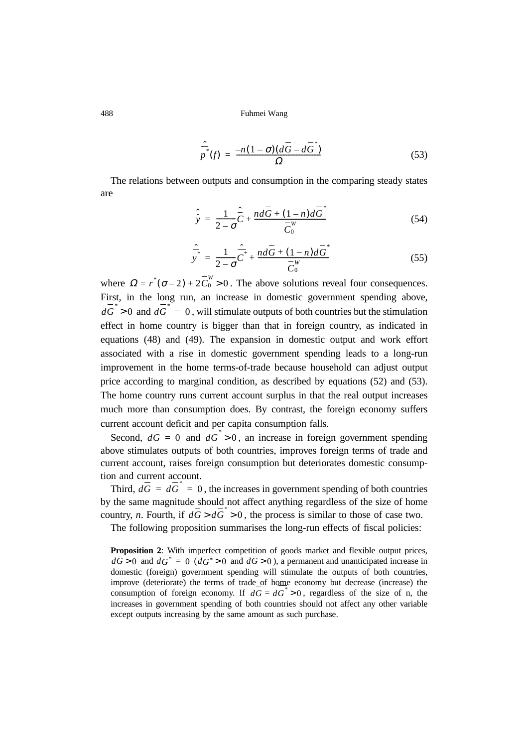$$
\frac{\hat{p}}{p^*}(f) = \frac{-n(1-\sigma)(d\overline{G} - d\overline{G}^*)}{\Omega} \tag{53}
$$

The relations between outputs and consumption in the comparing steady states are

$$
\hat{\vec{y}} = \frac{1}{2-\sigma}\hat{\vec{C}} + \frac{n d\vec{G} + (1-n)d\vec{G}^*}{\vec{C}_0^W} \tag{54}
$$

$$
\hat{\overline{y}}^* = \frac{1}{2-\sigma} \hat{\overline{C}}^* + \frac{nd\overline{G} + (1-n)d\overline{G}^*}{\overline{C}_0^W} \tag{55}
$$

where  $\Omega = r^*(\sigma - 2) + 2\overline{C}_0^W > 0$ . The above solutions reveal four consequences. First, in the long run, an increase in domestic government spending above,  $d\overline{G}^* > 0$  and  $d\overline{G}^* = 0$ , will stimulate outputs of both countries but the stimulation effect in home country is bigger than that in foreign country, as indicated in equations (48) and (49). The expansion in domestic output and work effort associated with a rise in domestic government spending leads to a long-run improvement in the home terms-of-trade because household can adjust output price according to marginal condition, as described by equations (52) and (53). The home country runs current account surplus in that the real output increases much more than consumption does. By contrast, the foreign economy suffers current account deficit and per capita consumption falls.

Second,  $d\overline{G} = 0$  and  $d\overline{G}^* > 0$ , an increase in foreign government spending above stimulates outputs of both countries, improves foreign terms of trade and current account, raises foreign consumption but deteriorates domestic consumption and current account.

Third,  $d\overline{G} = d\overline{G}^* = 0$ , the increases in government spending of both countries by the same magnitude should not affect anything regardless of the size of home country, *n*. Fourth, if  $d\overline{G} > d\overline{G}^* > 0$ , the process is similar to those of case two.

The following proposition summarises the long-run effects of fiscal policies:

Proposition 2: With imperfect competition of goods market and flexible output prices,  $d\overline{G} > 0$  and  $dG^* = 0$   $(d\overline{G^*} > 0$  and  $d\overline{G} > 0$ ), a permanent and unanticipated increase in domestic (foreign) government spending will stimulate the outputs of both countries, improve (deteriorate) the terms of trade of home economy but decrease (increase) the consumption of foreign economy. If  $d\overline{G} = d\overline{G}^* > 0$ , regardless of the size of n, the increases in government spending of both countries should not affect any other variable except outputs increasing by the same amount as such purchase.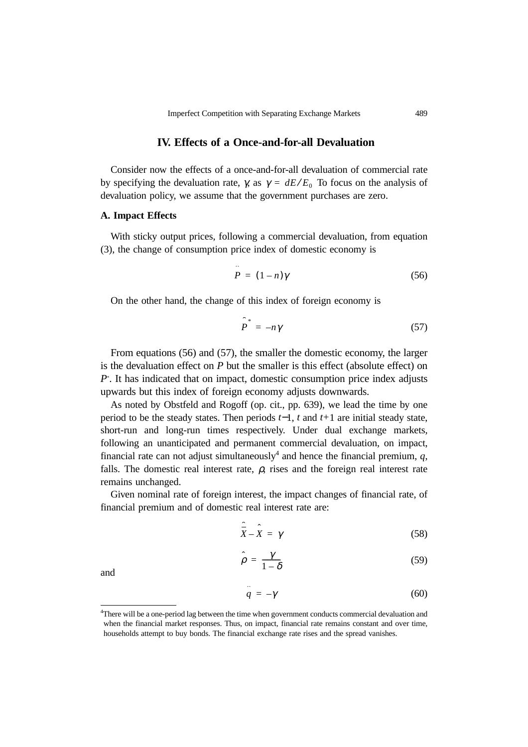# **IV. Effects of a Once-and-for-all Devaluation**

Consider now the effects of a once-and-for-all devaluation of commercial rate by specifying the devaluation rate,  $\gamma$ , as  $\gamma = dE/E_0$  To focus on the analysis of devaluation policy, we assume that the government purchases are zero.

#### **A. Impact Effects**

With sticky output prices, following a commercial devaluation, from equation (3), the change of consumption price index of domestic economy is

$$
\hat{P} = (1 - n)\gamma \tag{56}
$$

On the other hand, the change of this index of foreign economy is

$$
\hat{P}^* = -n\gamma \tag{57}
$$

From equations (56) and (57), the smaller the domestic economy, the larger is the devaluation effect on *P* but the smaller is this effect (absolute effect) on *P*\* . It has indicated that on impact, domestic consumption price index adjusts upwards but this index of foreign economy adjusts downwards.

As noted by Obstfeld and Rogoff (op. cit., pp. 639), we lead the time by one period to be the steady states. Then periods *t*−1, *t* and *t+*1 are initial steady state, short-run and long-run times respectively. Under dual exchange markets, following an unanticipated and permanent commercial devaluation, on impact, financial rate can not adjust simultaneously<sup>4</sup> and hence the financial premium,  $q$ , falls. The domestic real interest rate,  $\rho$ , rises and the foreign real interest rate remains unchanged.

Given nominal rate of foreign interest, the impact changes of financial rate, of financial premium and of domestic real interest rate are:

$$
\hat{\overline{X}} - \hat{X} = \gamma \tag{58}
$$

$$
\hat{\rho} = \frac{\gamma}{1 - \delta} \tag{59}
$$

and

$$
\hat{q} = -\gamma \tag{60}
$$

<sup>4</sup> There will be a one-period lag between the time when government conducts commercial devaluation and when the financial market responses. Thus, on impact, financial rate remains constant and over time, households attempt to buy bonds. The financial exchange rate rises and the spread vanishes.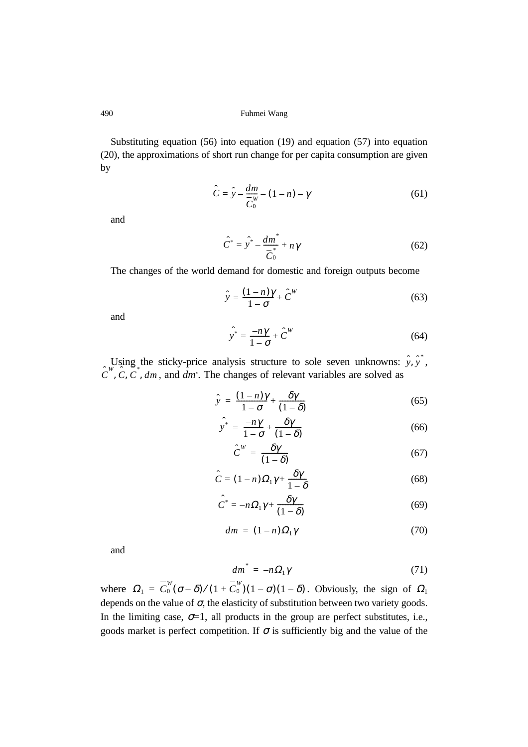Substituting equation (56) into equation (19) and equation (57) into equation (20), the approximations of short run change for per capita consumption are given by

$$
\hat{C} = \hat{y} - \frac{dm}{C_0} - (1 - n) - \gamma \tag{61}
$$

and

$$
\hat{C}^* = \hat{y}^* - \frac{dm^*}{\overline{C}_0^*} + n\gamma \tag{62}
$$

The changes of the world demand for domestic and foreign outputs become

$$
\hat{y} = \frac{(1-n)\gamma}{1-\sigma} + \hat{C}^W
$$
\n(63)

and

$$
\hat{y}^* = \frac{-n\gamma}{1 - \sigma} + \hat{C}^W \tag{64}
$$

Using the sticky-price analysis structure to sole seven unknowns:  $\hat{y}, \hat{y}$ , , and *dm*\* . The changes of relevant variables are solved as *y* ˆ *y* ˆ *\** ,  $\hat{C}^W$ ,  $\hat{C}$ ,  $\hat{C}^*$ , dm

$$
\hat{y} = \frac{(1-n)\gamma}{1-\sigma} + \frac{\delta\gamma}{(1-\delta)}
$$
(65)

$$
\hat{y}^* = \frac{-n\gamma}{1 - \sigma} + \frac{\delta\gamma}{(1 - \delta)}
$$
(66)

$$
\hat{C}^W = \frac{\delta \gamma}{(1 - \delta)}\tag{67}
$$

$$
\hat{C} = (1 - n)\Omega_1 \gamma + \frac{\delta \gamma}{1 - \delta} \tag{68}
$$

$$
\hat{C}^* = -n\Omega_1 \gamma + \frac{\delta \gamma}{(1-\delta)}\tag{69}
$$

$$
dm = (1 - n)\Omega_1 \gamma \tag{70}
$$

and

$$
dm^* = -n\Omega_1 \gamma \tag{71}
$$

where  $\Omega_1 = \overline{C_0^W}(\sigma - \delta) / (1 + \overline{C_0^W})(1 - \sigma)(1 - \delta)$ . Obviously, the sign of  $\Omega_1$ depends on the value of  $\sigma$ , the elasticity of substitution between two variety goods. In the limiting case,  $\sigma=1$ , all products in the group are perfect substitutes, i.e., goods market is perfect competition. If  $\sigma$  is sufficiently big and the value of the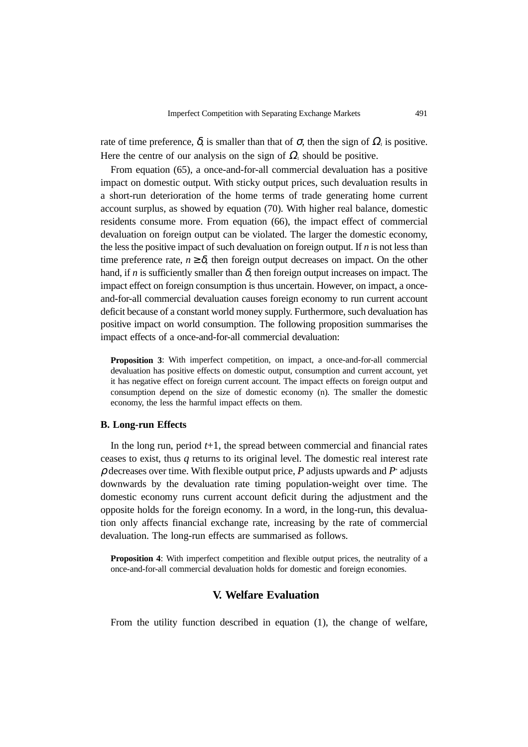rate of time preference,  $\delta$ , is smaller than that of  $\sigma$ , then the sign of  $\Omega_1$  is positive. Here the centre of our analysis on the sign of  $\Omega_1$  should be positive.

From equation (65), a once-and-for-all commercial devaluation has a positive impact on domestic output. With sticky output prices, such devaluation results in a short-run deterioration of the home terms of trade generating home current account surplus, as showed by equation (70). With higher real balance, domestic residents consume more. From equation (66), the impact effect of commercial devaluation on foreign output can be violated. The larger the domestic economy, the less the positive impact of such devaluation on foreign output. If *n* is not less than time preference rate,  $n \geq \delta$ , then foreign output decreases on impact. On the other hand, if *n* is sufficiently smaller than  $\delta$ , then foreign output increases on impact. The impact effect on foreign consumption is thus uncertain. However, on impact, a onceand-for-all commercial devaluation causes foreign economy to run current account deficit because of a constant world money supply. Furthermore, such devaluation has positive impact on world consumption. The following proposition summarises the impact effects of a once-and-for-all commercial devaluation:

**Proposition 3**: With imperfect competition, on impact, a once-and-for-all commercial devaluation has positive effects on domestic output, consumption and current account, yet it has negative effect on foreign current account. The impact effects on foreign output and consumption depend on the size of domestic economy (n). The smaller the domestic economy, the less the harmful impact effects on them.

### **B. Long-run Effects**

In the long run, period  $t+1$ , the spread between commercial and financial rates ceases to exist, thus *q* returns to its original level. The domestic real interest rate ρ decreases over time. With flexible output price, *P* adjusts upwards and *P*\* adjusts downwards by the devaluation rate timing population-weight over time. The domestic economy runs current account deficit during the adjustment and the opposite holds for the foreign economy. In a word, in the long-run, this devaluation only affects financial exchange rate, increasing by the rate of commercial devaluation. The long-run effects are summarised as follows.

**Proposition 4**: With imperfect competition and flexible output prices, the neutrality of a once-and-for-all commercial devaluation holds for domestic and foreign economies.

# **V. Welfare Evaluation**

From the utility function described in equation (1), the change of welfare,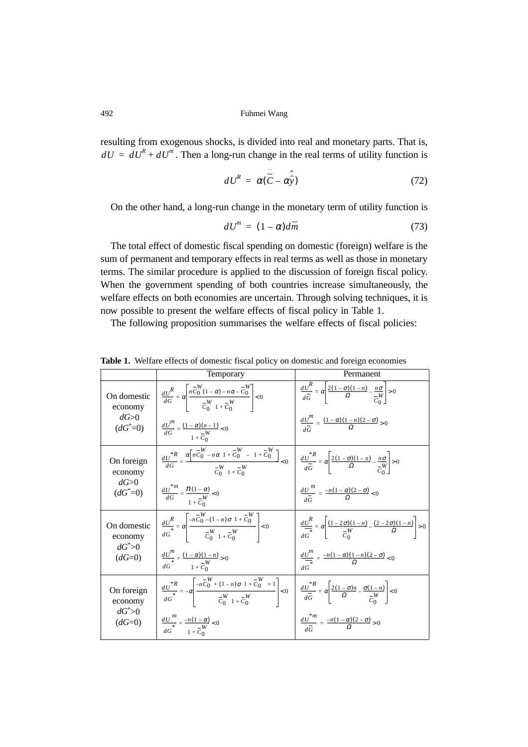resulting from exogenous shocks, is divided into real and monetary parts. That is,  $dU = dU^R + dU^m$ . Then a long-run change in the real terms of utility function is

$$
dU^R = \alpha(\hat{\vec{C}} - \hat{\alpha y})
$$
 (72)

On the other hand, a long-run change in the monetary term of utility function is

$$
dU^{m} = (1 - \alpha)d\overline{m} \tag{73}
$$

The total effect of domestic fiscal spending on domestic (foreign) welfare is the sum of permanent and temporary effects in real terms as well as those in monetary terms. The similar procedure is applied to the discussion of foreign fiscal policy. When the government spending of both countries increase simultaneously, the welfare effects on both economies are uncertain. Through solving techniques, it is now possible to present the welfare effects of fiscal policy in Table 1.

The following proposition summarises the welfare effects of fiscal policies:

|                                                 | Temporary                                                                                                                                                                                                                 | Permanent                                                                                                                          |  |  |  |
|-------------------------------------------------|---------------------------------------------------------------------------------------------------------------------------------------------------------------------------------------------------------------------------|------------------------------------------------------------------------------------------------------------------------------------|--|--|--|
| On domestic<br>economy                          | $\frac{dU^R}{dG} = \alpha \left  \frac{n \overline{C}_0^W (1 - \alpha) - n \alpha - \overline{C}_0^W}{\overline{C}_0^W (1 + \overline{C}_0^W)} \right  < 0$                                                               | $\frac{dU^{R}}{d\overline{G}} = \alpha \left  \frac{2(1-\sigma)(1-n)}{\Omega} - \frac{n\sigma}{\overline{C}_{\alpha}} \right  > 0$ |  |  |  |
| $dG$ >0<br>$(dG^* = 0)$                         | $\frac{dU'''}{dG} = \frac{(1-\alpha)(n-1)}{1+\overline{C}_0'} < 0$                                                                                                                                                        | $\frac{dU'''}{d\overline{C}} = \frac{(1-\alpha)(1-n)(2-\sigma)}{\Omega} > 0$                                                       |  |  |  |
| On foreign<br>economy                           | $\frac{dU^{\ast R}}{dG} = \frac{\alpha \left[ n \overline{C}_0^W - n \alpha \left( 1 + \overline{C}_0^W \right) - \left( 1 + \overline{C}_0^W \right) \right]}{\overline{C}_0^W \left( 1 + \overline{C}_0^W \right)} < 0$ | $\frac{dU^*}{d\overline{G}} = \alpha \left  \frac{2(1-\sigma)(1-n)}{\Omega} - \frac{n\sigma}{\overline{C}} \right  > 0$            |  |  |  |
| $dG$ $>0$<br>$(dG^* = 0)$                       | $\frac{dU^{*m}}{dG} = \frac{n(1-\alpha)}{-W} < 0$                                                                                                                                                                         | $\frac{dU^{m}}{d\overline{G}} = \frac{-n(1-\alpha)(2-\sigma)}{O} < 0$                                                              |  |  |  |
| On domestic<br>economy<br>$dG^*$ >0<br>$(dG=0)$ | $\frac{dU^R}{dG^*} = \alpha \left  \frac{-n\overline{C_0''-(1-n)\sigma(1+\overline{C_0''})}}{\overline{C_0''}(1+\overline{C_0''})} \right  < 0$                                                                           | $\frac{dU^R}{dG} = \alpha \left  \frac{(1-2\sigma)(1-n)}{\sigma^W} - \frac{(2-2\sigma)(1-n)}{\Omega} \right  > 0$                  |  |  |  |
|                                                 | $\frac{dU'''}{dG^*} = \frac{(1-\alpha)(1-n)}{1+\sum_{n=0}^{W}} > 0$                                                                                                                                                       | $\frac{dU''}{du} = \frac{-n(1-\alpha)(1-n)(2-\sigma)}{Q} < 0$                                                                      |  |  |  |
| On foreign<br>economy<br>$dG^*$ >0<br>$(dG=0)$  | $\frac{dU^* R}{dG^*} = -\alpha \left  \frac{-n \overline{C}_0^W + (1-n) \sigma \left(1 + \overline{C}_0^W \right) + 1}{\overline{C}_0^W \left(1 + \overline{C}_0^W \right)} \right  < 0$                                  | $\left  \frac{dU^*}{dG} \right  = \alpha \left  \frac{2(1-\sigma)n}{\Omega} - \frac{\sigma(1-n)}{-W} \right  < 0$                  |  |  |  |
|                                                 | $\frac{dU'''}{dG^*} = \frac{-n(1-\alpha)}{1+\frac{W}{C_0}} < 0$<br>$1 + C_0$                                                                                                                                              | $\frac{dU^{*m}}{1} = \frac{-n(1-\alpha)(2-\sigma)}{O} > 0$                                                                         |  |  |  |

**Table 1.** Welfare effects of domestic fiscal policy on domestic and foreign economies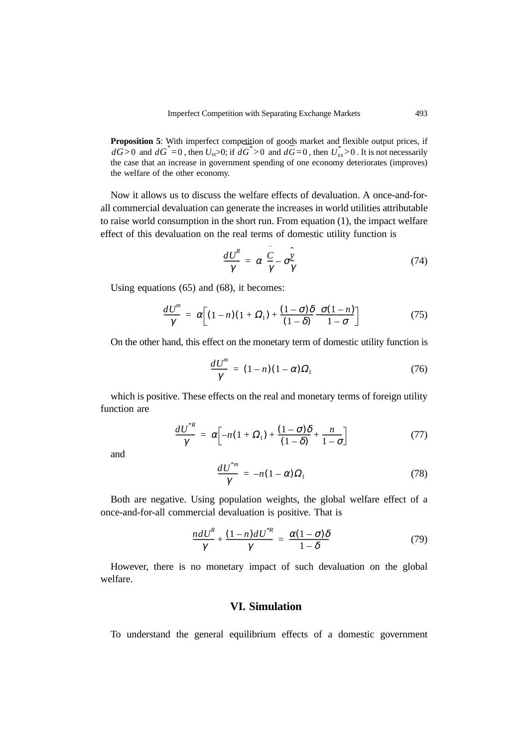**Proposition 5**: With imperfect competition of goods market and flexible output prices, if  $d\vec{G} > 0$  and  $d\vec{G}^* = 0$ , then  $U_{ss} > 0$ ; if  $d\vec{G}^* > 0$  and  $d\vec{G} = 0$ , then  $U_{ss}^* > 0$ . It is not necessarily the case that an increase in government spending of one economy deteriorates (improves) the welfare of the other economy.

Now it allows us to discuss the welfare effects of devaluation. A once-and-forall commercial devaluation can generate the increases in world utilities attributable to raise world consumption in the short run. From equation (1), the impact welfare effect of this devaluation on the real terms of domestic utility function is

$$
\frac{dU^R}{\gamma} = \alpha \Big( \frac{\hat{C}}{\gamma} - \sigma \frac{\hat{y}}{\gamma} \Big) \tag{74}
$$

Using equations (65) and (68), it becomes:

$$
\frac{dU^m}{\gamma} = \alpha \bigg[ (1-n)(1+\Omega_1) + \frac{(1-\sigma)\delta}{(1-\delta)} - \frac{\sigma(1-n)}{1-\sigma} \bigg] \tag{75}
$$

On the other hand, this effect on the monetary term of domestic utility function is

$$
\frac{dU'''}{\gamma} = (1-n)(1-\alpha)\Omega_1 \tag{76}
$$

which is positive. These effects on the real and monetary terms of foreign utility function are

$$
\frac{dU^{*R}}{\gamma} = \alpha \bigg[ -n(1+\Omega_1) + \frac{(1-\sigma)\delta}{(1-\delta)} + \frac{n}{1-\sigma} \bigg] \tag{77}
$$

and

$$
\frac{dU^{*m}}{\gamma} = -n(1-\alpha)\Omega_1\tag{78}
$$

Both are negative. Using population weights, the global welfare effect of a once-and-for-all commercial devaluation is positive. That is

$$
\frac{ndU^{R}}{\gamma} + \frac{(1-n)dU^{*R}}{\gamma} = \frac{\alpha(1-\sigma)\delta}{1-\delta}
$$
\n(79)

However, there is no monetary impact of such devaluation on the global welfare.

# **VI. Simulation**

To understand the general equilibrium effects of a domestic government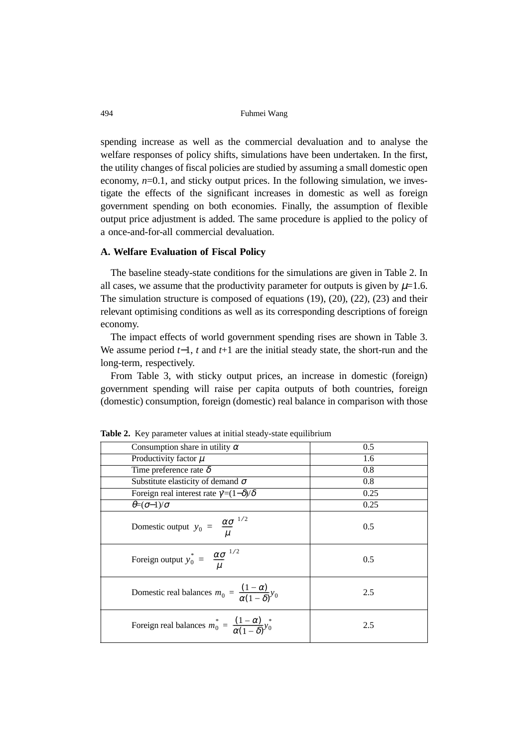spending increase as well as the commercial devaluation and to analyse the welfare responses of policy shifts, simulations have been undertaken. In the first, the utility changes of fiscal policies are studied by assuming a small domestic open economy,  $n=0.1$ , and sticky output prices. In the following simulation, we investigate the effects of the significant increases in domestic as well as foreign government spending on both economies. Finally, the assumption of flexible output price adjustment is added. The same procedure is applied to the policy of a once-and-for-all commercial devaluation.

# **A. Welfare Evaluation of Fiscal Policy**

The baseline steady-state conditions for the simulations are given in Table 2. In all cases, we assume that the productivity parameter for outputs is given by  $\mu$ =1.6. The simulation structure is composed of equations (19), (20), (22), (23) and their relevant optimising conditions as well as its corresponding descriptions of foreign economy.

The impact effects of world government spending rises are shown in Table 3. We assume period *t*−1, *t* and *t*+1 are the initial steady state, the short-run and the long-term, respectively.

From Table 3, with sticky output prices, an increase in domestic (foreign) government spending will raise per capita outputs of both countries, foreign (domestic) consumption, foreign (domestic) real balance in comparison with those

| <b>Radic 2.</b> Two parameter values at initial steady state equilibrium  |      |  |  |  |  |  |  |
|---------------------------------------------------------------------------|------|--|--|--|--|--|--|
| Consumption share in utility $\alpha$                                     | 0.5  |  |  |  |  |  |  |
| Productivity factor $\mu$                                                 | 1.6  |  |  |  |  |  |  |
| Time preference rate $\delta$                                             | 0.8  |  |  |  |  |  |  |
| Substitute elasticity of demand $\sigma$                                  | 0.8  |  |  |  |  |  |  |
| Foreign real interest rate $\gamma = (1-\delta)/\delta$                   | 0.25 |  |  |  |  |  |  |
| $\theta = (\sigma - 1)/\sigma$                                            | 0.25 |  |  |  |  |  |  |
| Domestic output $y_0 = \left(\frac{\alpha \sigma}{u}\right)^{1/2}$        | 0.5  |  |  |  |  |  |  |
| Foreign output $y_0^* = \left(\frac{\alpha \sigma}{\mu}\right)^{1/2}$     | 0.5  |  |  |  |  |  |  |
| Domestic real balances $m_0 = \frac{(1-\alpha)}{\alpha(1-\delta)} y_0$    | 2.5  |  |  |  |  |  |  |
| Foreign real balances $m_0^* = \frac{(1-\alpha)}{\alpha(1-\delta)} y_0^*$ | 2.5  |  |  |  |  |  |  |

**Table 2.** Key parameter values at initial steady-state equilibrium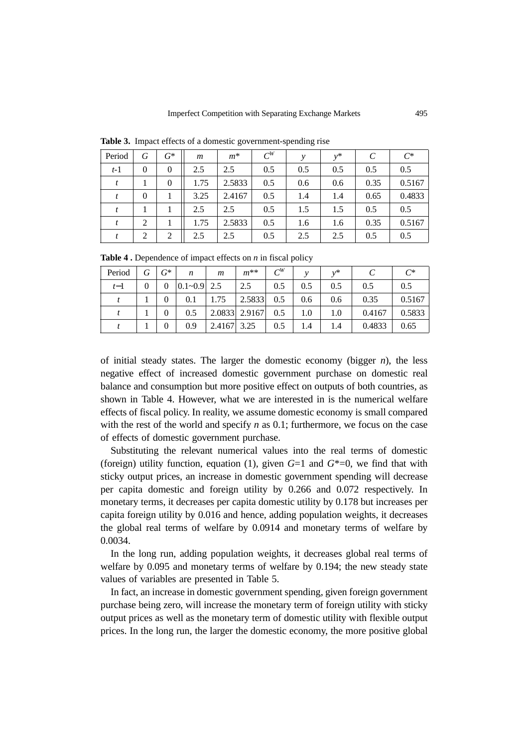| Period | G              | $G^*$          | m    | $m^*$  | $C^W$ | ν   | $v^*$ | C    | $C^*$  |
|--------|----------------|----------------|------|--------|-------|-----|-------|------|--------|
| $t-1$  | $\theta$       | $\overline{0}$ | 2.5  | 2.5    | 0.5   | 0.5 | 0.5   | 0.5  | 0.5    |
|        |                | $\theta$       | 1.75 | 2.5833 | 0.5   | 0.6 | 0.6   | 0.35 | 0.5167 |
|        | $\theta$       |                | 3.25 | 2.4167 | 0.5   | 1.4 | 1.4   | 0.65 | 0.4833 |
| t      |                |                | 2.5  | 2.5    | 0.5   | 1.5 | 1.5   | 0.5  | 0.5    |
|        | $\overline{2}$ |                | 1.75 | 2.5833 | 0.5   | 1.6 | 1.6   | 0.35 | 0.5167 |
|        | $\overline{2}$ | 2              | 2.5  | 2.5    | 0.5   | 2.5 | 2.5   | 0.5  | 0.5    |

**Table 3.** Impact effects of a domestic government-spending rise

**Table 4 .** Dependence of impact effects on *n* in fiscal policy

|        |   |          |                 |                |               |       | $\overline{\phantom{a}}$ |       |        |        |
|--------|---|----------|-----------------|----------------|---------------|-------|--------------------------|-------|--------|--------|
| Period |   | $G^*$    | n               | $\mathfrak{m}$ | $m^{**}$      | $C^W$ |                          | $v^*$ |        | $C^*$  |
| $t-1$  | 0 | $\Omega$ | $0.1 - 0.9$ 2.5 |                | 2.5           | 0.5   | 0.5                      | 0.5   | 0.5    | 0.5    |
|        |   |          | 0.1             | 1.75           | 2.5833        | 0.5   | 0.6                      | 0.6   | 0.35   | 0.5167 |
|        |   |          | 0.5             |                | 2.0833 2.9167 | 0.5   | 1.0                      | 1.0   | 0.4167 | 0.5833 |
|        |   |          | 0.9             | 2.4167 3.25    |               | 0.5   | 1.4                      | 1.4   | 0.4833 | 0.65   |

of initial steady states. The larger the domestic economy (bigger *n*), the less negative effect of increased domestic government purchase on domestic real balance and consumption but more positive effect on outputs of both countries, as shown in Table 4. However, what we are interested in is the numerical welfare effects of fiscal policy. In reality, we assume domestic economy is small compared with the rest of the world and specify *n* as 0.1; furthermore, we focus on the case of effects of domestic government purchase.

Substituting the relevant numerical values into the real terms of domestic (foreign) utility function, equation (1), given *G*=1 and *G*\*=0, we find that with sticky output prices, an increase in domestic government spending will decrease per capita domestic and foreign utility by 0.266 and 0.072 respectively. In monetary terms, it decreases per capita domestic utility by 0.178 but increases per capita foreign utility by 0.016 and hence, adding population weights, it decreases the global real terms of welfare by 0.0914 and monetary terms of welfare by 0.0034.

In the long run, adding population weights, it decreases global real terms of welfare by 0.095 and monetary terms of welfare by 0.194; the new steady state values of variables are presented in Table 5.

In fact, an increase in domestic government spending, given foreign government purchase being zero, will increase the monetary term of foreign utility with sticky output prices as well as the monetary term of domestic utility with flexible output prices. In the long run, the larger the domestic economy, the more positive global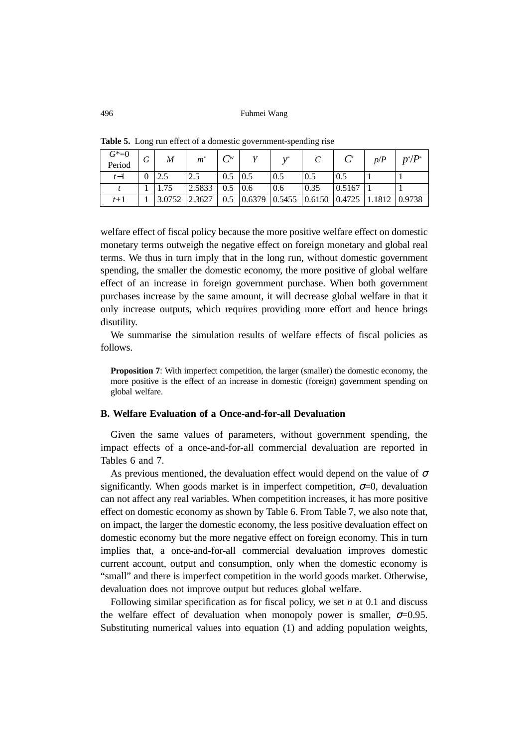| $G^* = 0$<br>Period | G        | M      | $m^*$  | $C^{\text{w}}$    | $\mathbf{v}^*$                                                                  |      |        | p/P | $p^*/P^*$ |
|---------------------|----------|--------|--------|-------------------|---------------------------------------------------------------------------------|------|--------|-----|-----------|
| $t-1$               | $\theta$ |        | 2.5    | $0.5 \,   \, 0.5$ | 0.5                                                                             | 0.5  | 0.5    |     |           |
|                     |          | 1.75   | 2.5833 | $0.5 \, 0.6$      | 0.6                                                                             | 0.35 | 0.5167 |     |           |
| $t+1$               |          | 3.0752 | 2.3627 | 0.5               | $\vert 0.6379 \vert 0.5455 \vert 0.6150 \vert 0.4725 \vert 1.1812 \vert 0.9738$ |      |        |     |           |

**Table 5.** Long run effect of a domestic government-spending rise

welfare effect of fiscal policy because the more positive welfare effect on domestic monetary terms outweigh the negative effect on foreign monetary and global real terms. We thus in turn imply that in the long run, without domestic government spending, the smaller the domestic economy, the more positive of global welfare effect of an increase in foreign government purchase. When both government purchases increase by the same amount, it will decrease global welfare in that it only increase outputs, which requires providing more effort and hence brings disutility.

We summarise the simulation results of welfare effects of fiscal policies as follows.

**Proposition 7:** With imperfect competition, the larger (smaller) the domestic economy, the more positive is the effect of an increase in domestic (foreign) government spending on global welfare.

# **B. Welfare Evaluation of a Once-and-for-all Devaluation**

Given the same values of parameters, without government spending, the impact effects of a once-and-for-all commercial devaluation are reported in Tables 6 and 7.

As previous mentioned, the devaluation effect would depend on the value of  $\sigma$ significantly. When goods market is in imperfect competition,  $\sigma=0$ , devaluation can not affect any real variables. When competition increases, it has more positive effect on domestic economy as shown by Table 6. From Table 7, we also note that, on impact, the larger the domestic economy, the less positive devaluation effect on domestic economy but the more negative effect on foreign economy. This in turn implies that, a once-and-for-all commercial devaluation improves domestic current account, output and consumption, only when the domestic economy is "small" and there is imperfect competition in the world goods market. Otherwise, devaluation does not improve output but reduces global welfare.

Following similar specification as for fiscal policy, we set *n* at 0.1 and discuss the welfare effect of devaluation when monopoly power is smaller,  $\sigma$ =0.95. Substituting numerical values into equation (1) and adding population weights,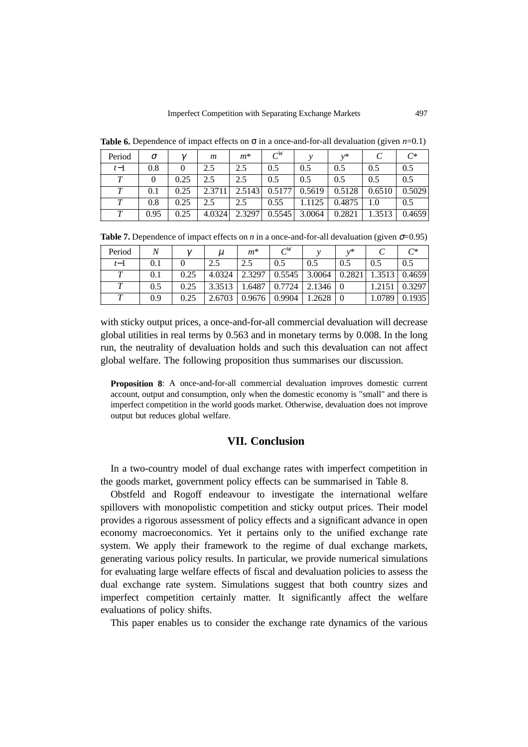| Period      | σ    | $\gamma$ | m      | $m^*$  | $C^{W}$ |        | $v^*$  |        | $\curvearrowright$ |
|-------------|------|----------|--------|--------|---------|--------|--------|--------|--------------------|
| $t-1$       | 0.8  |          | 2.5    | 2.5    | 0.5     | 0.5    | 0.5    | 0.5    | 0.5                |
| $\tau$      |      | 0.25     | 2.5    | 2.5    | 0.5     | 0.5    | 0.5    | 0.5    | 0.5                |
| $\bm{\tau}$ | 0.1  | 0.25     | 2.3711 | 2.5143 | 0.5177  | 0.5619 | 0.5128 | 0.6510 | 0.5029             |
| $\bm{\tau}$ | 0.8  | 0.25     | 2.5    | 2.5    | 0.55    | .1125  | 0.4875 |        | 0.5                |
|             | 0.95 | 0.25     | 4.0324 | 2.3297 | 0.5545  | 3.0064 | 0.2821 | 1.3513 | 0.4659             |

**Table 6.** Dependence of impact effects on  $\sigma$  in a once-and-for-all devaluation (given  $n=0.1$ )

**Table 7.** Dependence of impact effects on *n* in a once-and-for-all devaluation (given  $\sigma$ =0.95)

| Period |     | $\gamma$ | $\mu$  | $m^*$  | $C^{W}$ |                 | $v^*$  |        | $C^*$  |
|--------|-----|----------|--------|--------|---------|-----------------|--------|--------|--------|
| $t-1$  | 0.1 |          | 2.5    | 2.5    | 0.5     | 0.5             | 0.5    | 0.5    | 0.5    |
| T      | 0.1 | 0.25     | 4.0324 | 2.3297 | 0.5545  | 3.0064          | 0.2821 | 1.3513 | 0.4659 |
| T      | 0.5 | 0.25     | 3.3513 | 1.6487 | 0.7724  | $2.1346 \mid 0$ |        | 1.2151 | 0.3297 |
|        | 0.9 | 0.25     | 2.6703 | 0.9676 | 0.9904  | 1.2628          |        | 1.0789 | 0.1935 |

with sticky output prices, a once-and-for-all commercial devaluation will decrease global utilities in real terms by 0.563 and in monetary terms by 0.008. In the long run, the neutrality of devaluation holds and such this devaluation can not affect global welfare. The following proposition thus summarises our discussion.

**Proposition 8**: A once-and-for-all commercial devaluation improves domestic current account, output and consumption, only when the domestic economy is "small" and there is imperfect competition in the world goods market. Otherwise, devaluation does not improve output but reduces global welfare.

# **VII. Conclusion**

In a two-country model of dual exchange rates with imperfect competition in the goods market, government policy effects can be summarised in Table 8.

Obstfeld and Rogoff endeavour to investigate the international welfare spillovers with monopolistic competition and sticky output prices. Their model provides a rigorous assessment of policy effects and a significant advance in open economy macroeconomics. Yet it pertains only to the unified exchange rate system. We apply their framework to the regime of dual exchange markets, generating various policy results. In particular, we provide numerical simulations for evaluating large welfare effects of fiscal and devaluation policies to assess the dual exchange rate system. Simulations suggest that both country sizes and imperfect competition certainly matter. It significantly affect the welfare evaluations of policy shifts.

This paper enables us to consider the exchange rate dynamics of the various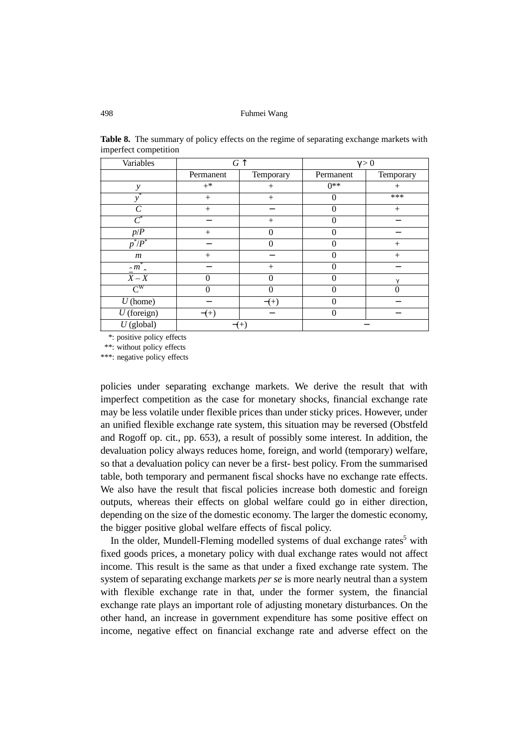| Variables                   |           | $G \uparrow$ | $\gamma > 0$ |             |  |
|-----------------------------|-----------|--------------|--------------|-------------|--|
|                             | Permanent | Temporary    | Permanent    | Temporary   |  |
| $\mathcal{Y}$               | $+^*$     | $^{+}$       | $0**$        | $^{+}$      |  |
| *<br>ν                      | $^{+}$    | $^{+}$       | 0            | ***         |  |
| $\mathcal{C}_{\mathcal{C}}$ | $^{+}$    |              | 0            | $^{+}$      |  |
| $\overline{\mathcal{C}}^*$  |           | $^{+}$       |              |             |  |
| $p/P$                       | $^{+}$    |              |              |             |  |
| $p^*/P^*$                   |           |              |              | $^{+}$      |  |
| $\,m$                       | $^{+}$    |              |              | $^{+}$      |  |
| ∗<br>$\sim m$ $\sim$        |           | $^{+}$       |              |             |  |
| $X - X$                     | 0         |              |              | $\mathbf v$ |  |
| $\mathrm{C}^\mathrm{W}$     | 0         |              |              |             |  |
| $U$ (home)                  |           | $^{(+)}$     |              |             |  |
| $U$ (foreign)               | $-(+)$    |              |              |             |  |
| $U$ (global)                |           | $-(+)$       |              |             |  |

**Table 8.** The summary of policy effects on the regime of separating exchange markets with imperfect competition

\*: positive policy effects

\*\*: without policy effects

\*\*\*: negative policy effects

policies under separating exchange markets. We derive the result that with imperfect competition as the case for monetary shocks, financial exchange rate may be less volatile under flexible prices than under sticky prices. However, under an unified flexible exchange rate system, this situation may be reversed (Obstfeld and Rogoff op. cit., pp. 653), a result of possibly some interest. In addition, the devaluation policy always reduces home, foreign, and world (temporary) welfare, so that a devaluation policy can never be a first- best policy. From the summarised table, both temporary and permanent fiscal shocks have no exchange rate effects. We also have the result that fiscal policies increase both domestic and foreign outputs, whereas their effects on global welfare could go in either direction, depending on the size of the domestic economy. The larger the domestic economy, the bigger positive global welfare effects of fiscal policy.

In the older, Mundell-Fleming modelled systems of dual exchange rates<sup>5</sup> with fixed goods prices, a monetary policy with dual exchange rates would not affect income. This result is the same as that under a fixed exchange rate system. The system of separating exchange markets *per se* is more nearly neutral than a system with flexible exchange rate in that, under the former system, the financial exchange rate plays an important role of adjusting monetary disturbances. On the other hand, an increase in government expenditure has some positive effect on income, negative effect on financial exchange rate and adverse effect on the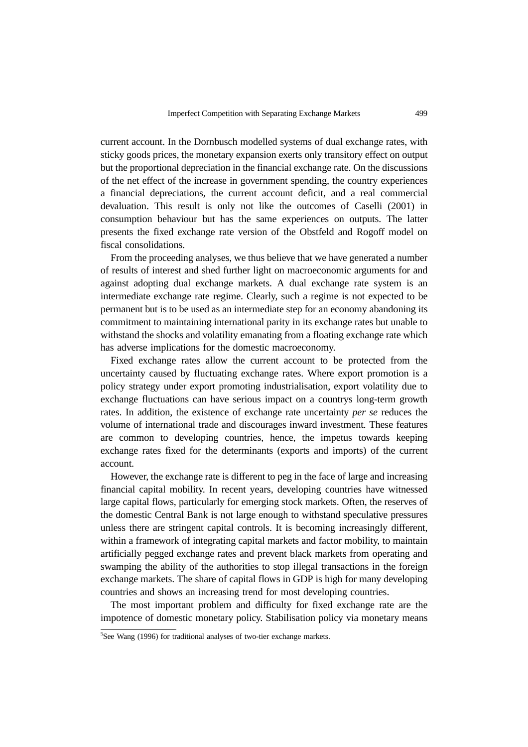current account. In the Dornbusch modelled systems of dual exchange rates, with sticky goods prices, the monetary expansion exerts only transitory effect on output but the proportional depreciation in the financial exchange rate. On the discussions of the net effect of the increase in government spending, the country experiences a financial depreciations, the current account deficit, and a real commercial devaluation. This result is only not like the outcomes of Caselli (2001) in consumption behaviour but has the same experiences on outputs. The latter presents the fixed exchange rate version of the Obstfeld and Rogoff model on fiscal consolidations.

From the proceeding analyses, we thus believe that we have generated a number of results of interest and shed further light on macroeconomic arguments for and against adopting dual exchange markets. A dual exchange rate system is an intermediate exchange rate regime. Clearly, such a regime is not expected to be permanent but is to be used as an intermediate step for an economy abandoning its commitment to maintaining international parity in its exchange rates but unable to withstand the shocks and volatility emanating from a floating exchange rate which has adverse implications for the domestic macroeconomy.

Fixed exchange rates allow the current account to be protected from the uncertainty caused by fluctuating exchange rates. Where export promotion is a policy strategy under export promoting industrialisation, export volatility due to exchange fluctuations can have serious impact on a countrys long-term growth rates. In addition, the existence of exchange rate uncertainty *per se* reduces the volume of international trade and discourages inward investment. These features are common to developing countries, hence, the impetus towards keeping exchange rates fixed for the determinants (exports and imports) of the current account.

However, the exchange rate is different to peg in the face of large and increasing financial capital mobility. In recent years, developing countries have witnessed large capital flows, particularly for emerging stock markets. Often, the reserves of the domestic Central Bank is not large enough to withstand speculative pressures unless there are stringent capital controls. It is becoming increasingly different, within a framework of integrating capital markets and factor mobility, to maintain artificially pegged exchange rates and prevent black markets from operating and swamping the ability of the authorities to stop illegal transactions in the foreign exchange markets. The share of capital flows in GDP is high for many developing countries and shows an increasing trend for most developing countries.

The most important problem and difficulty for fixed exchange rate are the impotence of domestic monetary policy. Stabilisation policy via monetary means

<sup>&</sup>lt;sup>5</sup>See Wang (1996) for traditional analyses of two-tier exchange markets.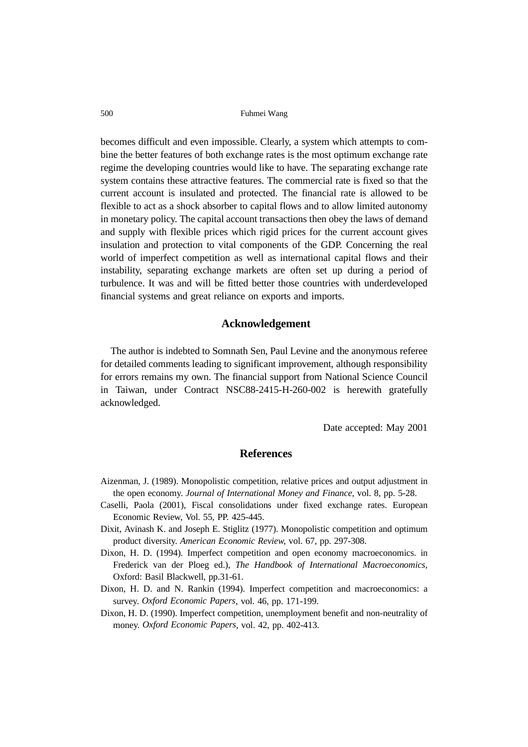becomes difficult and even impossible. Clearly, a system which attempts to combine the better features of both exchange rates is the most optimum exchange rate regime the developing countries would like to have. The separating exchange rate system contains these attractive features. The commercial rate is fixed so that the current account is insulated and protected. The financial rate is allowed to be flexible to act as a shock absorber to capital flows and to allow limited autonomy in monetary policy. The capital account transactions then obey the laws of demand and supply with flexible prices which rigid prices for the current account gives insulation and protection to vital components of the GDP. Concerning the real world of imperfect competition as well as international capital flows and their instability, separating exchange markets are often set up during a period of turbulence. It was and will be fitted better those countries with underdeveloped financial systems and great reliance on exports and imports.

### **Acknowledgement**

The author is indebted to Somnath Sen, Paul Levine and the anonymous referee for detailed comments leading to significant improvement, although responsibility for errors remains my own. The financial support from National Science Council in Taiwan, under Contract NSC88-2415-H-260-002 is herewith gratefully acknowledged.

Date accepted: May 2001

# **References**

- Aizenman, J. (1989). Monopolistic competition, relative prices and output adjustment in the open economy. *Journal of International Money and Finance*, vol. 8, pp. 5-28.
- Caselli, Paola (2001), Fiscal consolidations under fixed exchange rates. European Economic Review, Vol. 55, PP. 425-445.
- Dixit, Avinash K. and Joseph E. Stiglitz (1977). Monopolistic competition and optimum product diversity. *American Economic Review*, vol. 67, pp. 297-308.
- Dixon, H. D. (1994). Imperfect competition and open economy macroeconomics. in Frederick van der Ploeg ed.), *The Handbook of International Macroeconomics*, Oxford: Basil Blackwell, pp.31-61.
- Dixon, H. D. and N. Rankin (1994). Imperfect competition and macroeconomics: a survey. *Oxford Economic Papers*, vol. 46, pp. 171-199.
- Dixon, H. D. (1990). Imperfect competition, unemployment benefit and non-neutrality of money. *Oxford Economic Papers*, vol. 42, pp. 402-413.